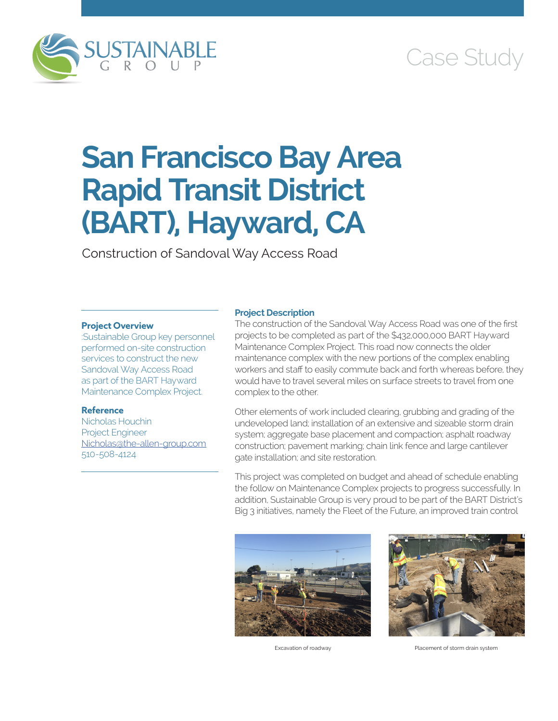

# Case Study

# **San Francisco Bay Area Rapid Transit District (BART), Hayward, CA**

Construction of Sandoval Way Access Road

# **Project Overview**

:Sustainable Group key personnel performed on-site construction services to construct the new Sandoval Way Access Road as part of the BART Hayward Maintenance Complex Project.

# **Reference**

Nicholas Houchin Project Engineer [Nicholas@the-allen-group.com](mailto:Nicholas@the-allen-group.com) 510-508-4124

### **Project Description**

The construction of the Sandoval Way Access Road was one of the first projects to be completed as part of the \$432,000,000 BART Hayward Maintenance Complex Project. This road now connects the older maintenance complex with the new portions of the complex enabling workers and staff to easily commute back and forth whereas before, they would have to travel several miles on surface streets to travel from one complex to the other.

Other elements of work included clearing, grubbing and grading of the undeveloped land; installation of an extensive and sizeable storm drain system; aggregate base placement and compaction; asphalt roadway construction; pavement marking; chain link fence and large cantilever gate installation; and site restoration.

This project was completed on budget and ahead of schedule enabling the follow on Maintenance Complex projects to progress successfully. In addition, Sustainable Group is very proud to be part of the BART District's Big 3 initiatives, namely the Fleet of the Future, an improved train control





Excavation of roadway Placement of storm drain system